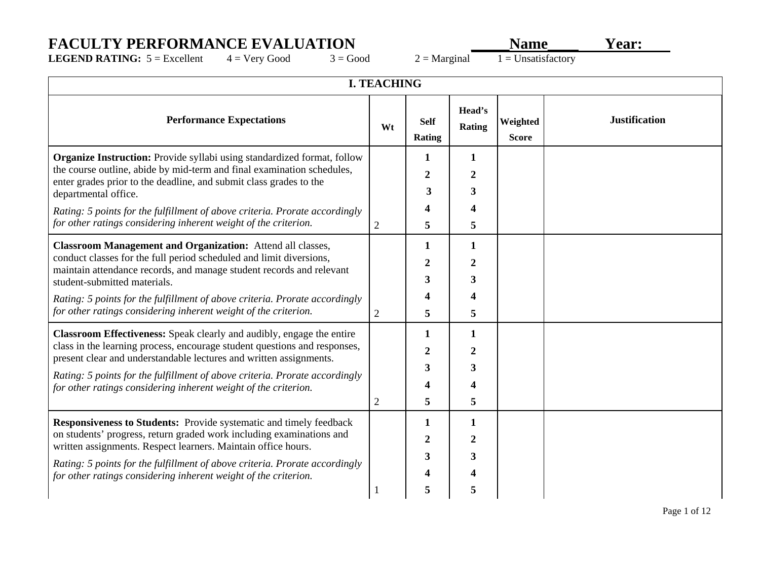## **FACULTY PERFORMANCE EVALUATION**<br>LEGEND RATING: 5 = Excellent 4 = Very Good 3 = Good 2 = Marginal 1 = Unsatisfactory

**LEGEND RATING:**  $5 =$  Excellent  $4 =$  Very Good  $3 =$  Good  $2 =$  Marginal

| <b>I. TEACHING</b>                                                                                                                                                                                                                                                                                                                                                                                                                                                    |                     |                       |                            |                          |                      |  |  |
|-----------------------------------------------------------------------------------------------------------------------------------------------------------------------------------------------------------------------------------------------------------------------------------------------------------------------------------------------------------------------------------------------------------------------------------------------------------------------|---------------------|-----------------------|----------------------------|--------------------------|----------------------|--|--|
| <b>Performance Expectations</b>                                                                                                                                                                                                                                                                                                                                                                                                                                       | Wt                  | <b>Self</b><br>Rating | Head's<br>Rating           | Weighted<br><b>Score</b> | <b>Justification</b> |  |  |
| <b>Organize Instruction:</b> Provide syllabi using standardized format, follow<br>the course outline, abide by mid-term and final examination schedules,<br>enter grades prior to the deadline, and submit class grades to the<br>departmental office.<br>Rating: 5 points for the fulfillment of above criteria. Prorate accordingly                                                                                                                                 |                     | 1<br>2<br>3           | 1<br>2<br>3<br>4           |                          |                      |  |  |
| for other ratings considering inherent weight of the criterion.<br><b>Classroom Management and Organization:</b> Attend all classes,<br>conduct classes for the full period scheduled and limit diversions,<br>maintain attendance records, and manage student records and relevant<br>student-submitted materials.<br>Rating: 5 points for the fulfillment of above criteria. Prorate accordingly<br>for other ratings considering inherent weight of the criterion. | 2<br>$\overline{2}$ | 5<br>2<br>3<br>5      | 5<br>1<br>2<br>3<br>4<br>5 |                          |                      |  |  |
| Classroom Effectiveness: Speak clearly and audibly, engage the entire<br>class in the learning process, encourage student questions and responses,<br>present clear and understandable lectures and written assignments.<br>Rating: 5 points for the fulfillment of above criteria. Prorate accordingly<br>for other ratings considering inherent weight of the criterion.                                                                                            | $\overline{2}$      | 1<br>2<br>3<br>5      | 1<br>2<br>3<br>4<br>5      |                          |                      |  |  |
| <b>Responsiveness to Students:</b> Provide systematic and timely feedback<br>on students' progress, return graded work including examinations and<br>written assignments. Respect learners. Maintain office hours.<br>Rating: 5 points for the fulfillment of above criteria. Prorate accordingly<br>for other ratings considering inherent weight of the criterion.                                                                                                  |                     | 1<br>3<br>5           | 1<br>2<br>3<br>5           |                          |                      |  |  |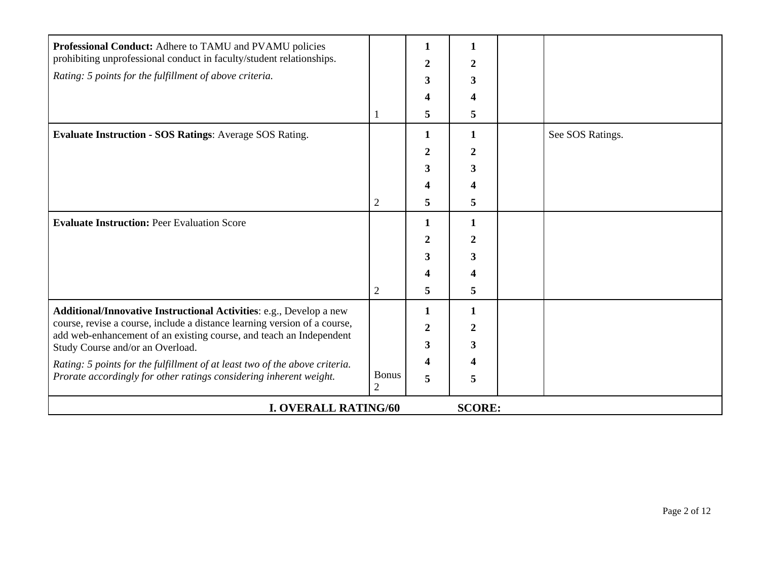| Professional Conduct: Adhere to TAMU and PVAMU policies<br>prohibiting unprofessional conduct in faculty/student relationships.                  |                                | 1<br>2 | 2                |  |                  |  |  |  |
|--------------------------------------------------------------------------------------------------------------------------------------------------|--------------------------------|--------|------------------|--|------------------|--|--|--|
| Rating: 5 points for the fulfillment of above criteria.                                                                                          |                                | 3      | 3                |  |                  |  |  |  |
|                                                                                                                                                  |                                |        | 4                |  |                  |  |  |  |
|                                                                                                                                                  |                                | 5      | 5                |  |                  |  |  |  |
| Evaluate Instruction - SOS Ratings: Average SOS Rating.                                                                                          |                                | 1      | 1                |  | See SOS Ratings. |  |  |  |
|                                                                                                                                                  |                                | 2      | $\boldsymbol{2}$ |  |                  |  |  |  |
|                                                                                                                                                  |                                | 3      | 3                |  |                  |  |  |  |
|                                                                                                                                                  |                                |        | 4                |  |                  |  |  |  |
|                                                                                                                                                  | $\overline{2}$                 | 5      | 5                |  |                  |  |  |  |
| <b>Evaluate Instruction: Peer Evaluation Score</b>                                                                                               |                                | 1      | 1                |  |                  |  |  |  |
|                                                                                                                                                  |                                | 2      | 2                |  |                  |  |  |  |
|                                                                                                                                                  |                                | 3      | 3                |  |                  |  |  |  |
|                                                                                                                                                  |                                |        |                  |  |                  |  |  |  |
|                                                                                                                                                  | $\overline{c}$                 | 5      | 5                |  |                  |  |  |  |
| Additional/Innovative Instructional Activities: e.g., Develop a new                                                                              |                                | 1      | 1                |  |                  |  |  |  |
| course, revise a course, include a distance learning version of a course,<br>add web-enhancement of an existing course, and teach an Independent |                                | 2      | 2                |  |                  |  |  |  |
| Study Course and/or an Overload.                                                                                                                 |                                | 3      | 3                |  |                  |  |  |  |
| Rating: 5 points for the fulfillment of at least two of the above criteria.                                                                      |                                |        |                  |  |                  |  |  |  |
| Prorate accordingly for other ratings considering inherent weight.                                                                               | <b>Bonus</b><br>$\overline{2}$ | 5      | 5                |  |                  |  |  |  |
| <b>I. OVERALL RATING/60</b><br><b>SCORE:</b>                                                                                                     |                                |        |                  |  |                  |  |  |  |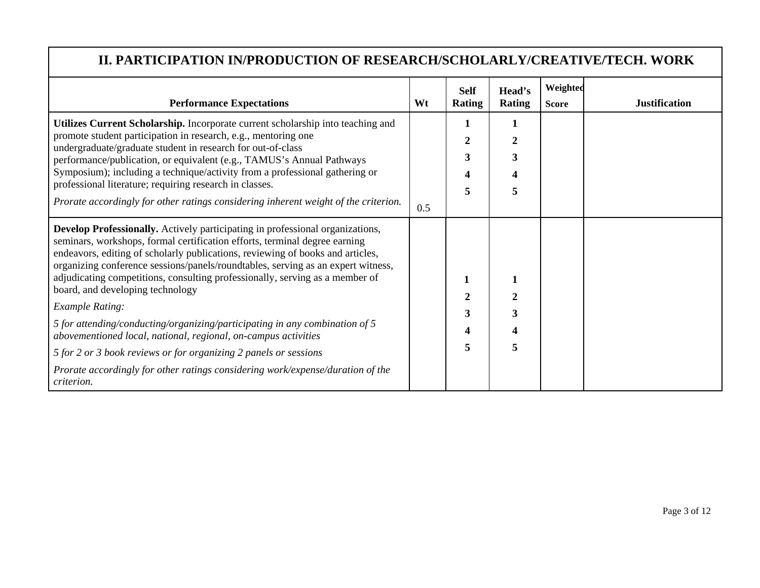## **II. PARTICIPATION IN/PRODUCTION OF RESEARCH/SCHOLARLY/CREATIVE/TECH. WORK**

| <b>Performance Expectations</b>                                                                                                                                                                                                                                                                                                                                                                                                                                                                                                                                                                                                                                                                                                                                                                             | Wt  | <b>Self</b><br><b>Rating</b> | Head's<br><b>Rating</b> | Weighted<br><b>Score</b> | <b>Justification</b> |
|-------------------------------------------------------------------------------------------------------------------------------------------------------------------------------------------------------------------------------------------------------------------------------------------------------------------------------------------------------------------------------------------------------------------------------------------------------------------------------------------------------------------------------------------------------------------------------------------------------------------------------------------------------------------------------------------------------------------------------------------------------------------------------------------------------------|-----|------------------------------|-------------------------|--------------------------|----------------------|
| Utilizes Current Scholarship. Incorporate current scholarship into teaching and<br>promote student participation in research, e.g., mentoring one<br>undergraduate/graduate student in research for out-of-class<br>performance/publication, or equivalent (e.g., TAMUS's Annual Pathways<br>Symposium); including a technique/activity from a professional gathering or<br>professional literature; requiring research in classes.<br>Prorate accordingly for other ratings considering inherent weight of the criterion.                                                                                                                                                                                                                                                                                  | 0.5 | 1<br>2<br>3<br>4<br>5        | 1<br>3<br>5.            |                          |                      |
| Develop Professionally. Actively participating in professional organizations,<br>seminars, workshops, formal certification efforts, terminal degree earning<br>endeavors, editing of scholarly publications, reviewing of books and articles,<br>organizing conference sessions/panels/roundtables, serving as an expert witness,<br>adjudicating competitions, consulting professionally, serving as a member of<br>board, and developing technology<br><b>Example Rating:</b><br>5 for attending/conducting/organizing/participating in any combination of 5<br>abovementioned local, national, regional, on-campus activities<br>5 for 2 or 3 book reviews or for organizing 2 panels or sessions<br>Prorate accordingly for other ratings considering work/expense/duration of the<br><i>criterion.</i> |     | 2<br>3<br>4<br>5             | 3<br>5                  |                          |                      |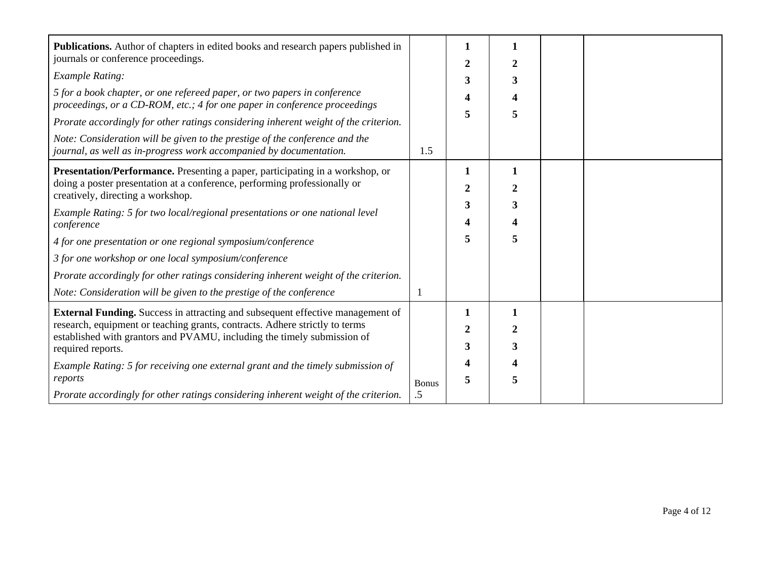| Publications. Author of chapters in edited books and research papers published in                                                                     |              | 1 | 1 |  |
|-------------------------------------------------------------------------------------------------------------------------------------------------------|--------------|---|---|--|
| journals or conference proceedings.                                                                                                                   |              | 2 | 2 |  |
| <b>Example Rating:</b>                                                                                                                                |              | 3 | 3 |  |
| 5 for a book chapter, or one refereed paper, or two papers in conference<br>proceedings, or a CD-ROM, etc.; 4 for one paper in conference proceedings |              | 4 | 4 |  |
| Prorate accordingly for other ratings considering inherent weight of the criterion.                                                                   |              | 5 | 5 |  |
| Note: Consideration will be given to the prestige of the conference and the<br>journal, as well as in-progress work accompanied by documentation.     | 1.5          |   |   |  |
| Presentation/Performance. Presenting a paper, participating in a workshop, or                                                                         |              | 1 | 1 |  |
| doing a poster presentation at a conference, performing professionally or<br>creatively, directing a workshop.                                        |              | 2 | 2 |  |
| Example Rating: 5 for two local/regional presentations or one national level                                                                          |              | 3 | 3 |  |
| conference                                                                                                                                            |              |   |   |  |
| 4 for one presentation or one regional symposium/conference                                                                                           |              | 5 | 5 |  |
| 3 for one workshop or one local symposium/conference                                                                                                  |              |   |   |  |
| Prorate accordingly for other ratings considering inherent weight of the criterion.                                                                   |              |   |   |  |
| Note: Consideration will be given to the prestige of the conference                                                                                   |              |   |   |  |
| <b>External Funding.</b> Success in attracting and subsequent effective management of                                                                 |              | 1 | 1 |  |
| research, equipment or teaching grants, contracts. Adhere strictly to terms                                                                           |              | 2 | 2 |  |
| established with grantors and PVAMU, including the timely submission of<br>required reports.                                                          |              | 3 | 3 |  |
| Example Rating: 5 for receiving one external grant and the timely submission of                                                                       |              |   |   |  |
| reports                                                                                                                                               | <b>Bonus</b> | 5 | 5 |  |
| Prorate accordingly for other ratings considering inherent weight of the criterion.                                                                   | .5           |   |   |  |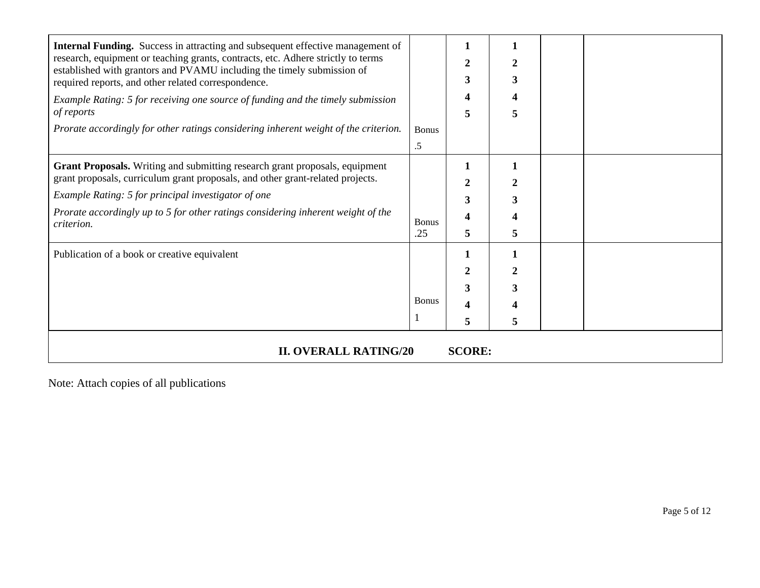| Internal Funding. Success in attracting and subsequent effective management of<br>research, equipment or teaching grants, contracts, etc. Adhere strictly to terms<br>established with grantors and PVAMU including the timely submission of<br>required reports, and other related correspondence.<br>Example Rating: 5 for receiving one source of funding and the timely submission<br>of reports<br>Prorate accordingly for other ratings considering inherent weight of the criterion. | <b>Bonus</b><br>$.5\,$ | 2<br>3<br>4<br>5                   | 3<br>5 |  |  |  |
|---------------------------------------------------------------------------------------------------------------------------------------------------------------------------------------------------------------------------------------------------------------------------------------------------------------------------------------------------------------------------------------------------------------------------------------------------------------------------------------------|------------------------|------------------------------------|--------|--|--|--|
| Grant Proposals. Writing and submitting research grant proposals, equipment<br>grant proposals, curriculum grant proposals, and other grant-related projects.<br>Example Rating: 5 for principal investigator of one<br>Prorate accordingly up to 5 for other ratings considering inherent weight of the<br><i>criterion.</i>                                                                                                                                                               | <b>Bonus</b><br>.25    | 1<br>2<br>3<br>$\overline{4}$<br>5 | 3<br>5 |  |  |  |
| Publication of a book or creative equivalent                                                                                                                                                                                                                                                                                                                                                                                                                                                | <b>Bonus</b>           | 1<br>2<br>3<br>4<br>5              | 3<br>5 |  |  |  |
| <b>II. OVERALL RATING/20</b><br><b>SCORE:</b>                                                                                                                                                                                                                                                                                                                                                                                                                                               |                        |                                    |        |  |  |  |

Note: Attach copies of all publications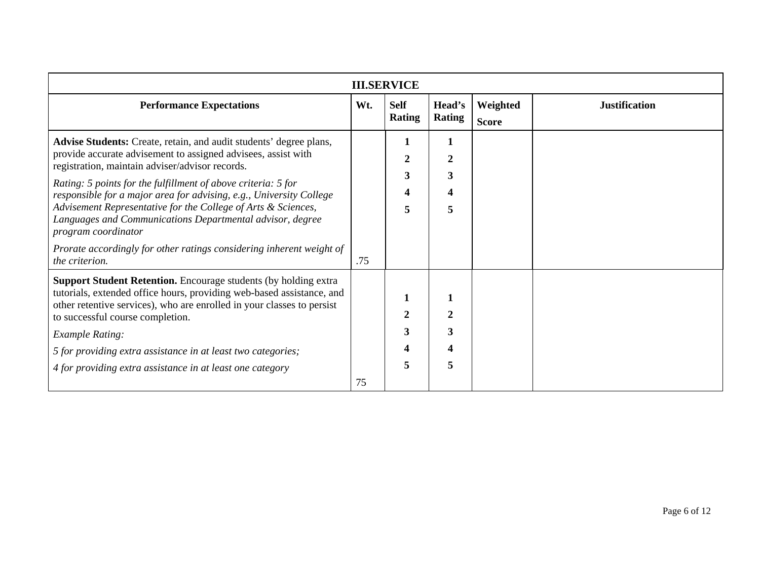| <b>III.SERVICE</b>                                                                                                                                                                                                                                                                                                                                                                                                                                                                  |     |                                       |                                    |                          |                      |  |  |  |
|-------------------------------------------------------------------------------------------------------------------------------------------------------------------------------------------------------------------------------------------------------------------------------------------------------------------------------------------------------------------------------------------------------------------------------------------------------------------------------------|-----|---------------------------------------|------------------------------------|--------------------------|----------------------|--|--|--|
| <b>Performance Expectations</b>                                                                                                                                                                                                                                                                                                                                                                                                                                                     | Wt. | <b>Self</b><br><b>Rating</b>          | Head's<br>Rating                   | Weighted<br><b>Score</b> | <b>Justification</b> |  |  |  |
| Advise Students: Create, retain, and audit students' degree plans,<br>provide accurate advisement to assigned advisees, assist with<br>registration, maintain adviser/advisor records.<br>Rating: 5 points for the fulfillment of above criteria: 5 for<br>responsible for a major area for advising, e.g., University College<br>Advisement Representative for the College of Arts & Sciences,<br>Languages and Communications Departmental advisor, degree<br>program coordinator |     | $\mathfrak{D}$<br>3<br>5              | 1<br>$\overline{2}$<br>3<br>4<br>5 |                          |                      |  |  |  |
| Prorate accordingly for other ratings considering inherent weight of<br>the criterion.                                                                                                                                                                                                                                                                                                                                                                                              | .75 |                                       |                                    |                          |                      |  |  |  |
| <b>Support Student Retention.</b> Encourage students (by holding extra<br>tutorials, extended office hours, providing web-based assistance, and<br>other retentive services), who are enrolled in your classes to persist<br>to successful course completion.<br><b>Example Rating:</b><br>5 for providing extra assistance in at least two categories;<br>4 for providing extra assistance in at least one category                                                                |     | $\mathcal{D}_{\mathcal{L}}$<br>3<br>5 | 1<br>$\overline{2}$<br>3<br>4<br>5 |                          |                      |  |  |  |
|                                                                                                                                                                                                                                                                                                                                                                                                                                                                                     | 75  |                                       |                                    |                          |                      |  |  |  |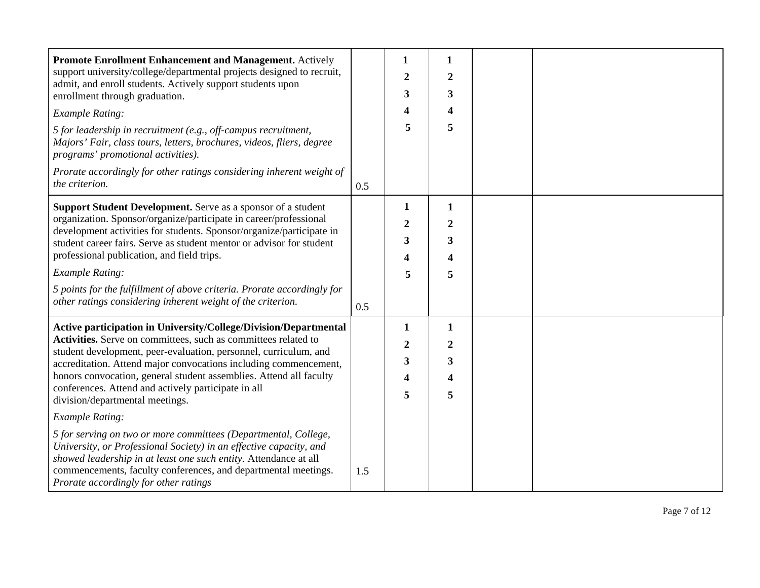| Promote Enrollment Enhancement and Management. Actively                                                                                                                                                                                                                     |     | 1                       | 1                       |  |
|-----------------------------------------------------------------------------------------------------------------------------------------------------------------------------------------------------------------------------------------------------------------------------|-----|-------------------------|-------------------------|--|
| support university/college/departmental projects designed to recruit,                                                                                                                                                                                                       |     | $\overline{2}$          | $\overline{2}$          |  |
| admit, and enroll students. Actively support students upon<br>enrollment through graduation.                                                                                                                                                                                |     | 3                       | 3                       |  |
| <b>Example Rating:</b>                                                                                                                                                                                                                                                      |     | 4                       | 4                       |  |
| 5 for leadership in recruitment (e.g., off-campus recruitment,<br>Majors' Fair, class tours, letters, brochures, videos, fliers, degree<br>programs' promotional activities).                                                                                               |     | 5                       | 5                       |  |
| Prorate accordingly for other ratings considering inherent weight of<br>the criterion.                                                                                                                                                                                      | 0.5 |                         |                         |  |
| Support Student Development. Serve as a sponsor of a student                                                                                                                                                                                                                |     | $\mathbf{1}$            | $\mathbf{1}$            |  |
| organization. Sponsor/organize/participate in career/professional                                                                                                                                                                                                           |     | $\mathbf{2}$            | $\boldsymbol{2}$        |  |
| development activities for students. Sponsor/organize/participate in<br>student career fairs. Serve as student mentor or advisor for student                                                                                                                                |     | 3                       | 3                       |  |
| professional publication, and field trips.                                                                                                                                                                                                                                  |     | 4                       | $\overline{\mathbf{4}}$ |  |
| <b>Example Rating:</b>                                                                                                                                                                                                                                                      |     | 5                       | 5                       |  |
| 5 points for the fulfillment of above criteria. Prorate accordingly for                                                                                                                                                                                                     |     |                         |                         |  |
| other ratings considering inherent weight of the criterion.                                                                                                                                                                                                                 | 0.5 |                         |                         |  |
| Active participation in University/College/Division/Departmental                                                                                                                                                                                                            |     | 1                       | $\mathbf{1}$            |  |
| Activities. Serve on committees, such as committees related to<br>student development, peer-evaluation, personnel, curriculum, and                                                                                                                                          |     | $\overline{2}$          | $\boldsymbol{2}$        |  |
| accreditation. Attend major convocations including commencement,                                                                                                                                                                                                            |     | 3                       | 3                       |  |
| honors convocation, general student assemblies. Attend all faculty                                                                                                                                                                                                          |     | $\overline{\mathbf{4}}$ | $\overline{\mathbf{4}}$ |  |
| conferences. Attend and actively participate in all<br>division/departmental meetings.                                                                                                                                                                                      |     | 5                       | 5                       |  |
| <b>Example Rating:</b>                                                                                                                                                                                                                                                      |     |                         |                         |  |
| 5 for serving on two or more committees (Departmental, College,<br>University, or Professional Society) in an effective capacity, and<br>showed leadership in at least one such entity. Attendance at all<br>commencements, faculty conferences, and departmental meetings. | 1.5 |                         |                         |  |
| Prorate accordingly for other ratings                                                                                                                                                                                                                                       |     |                         |                         |  |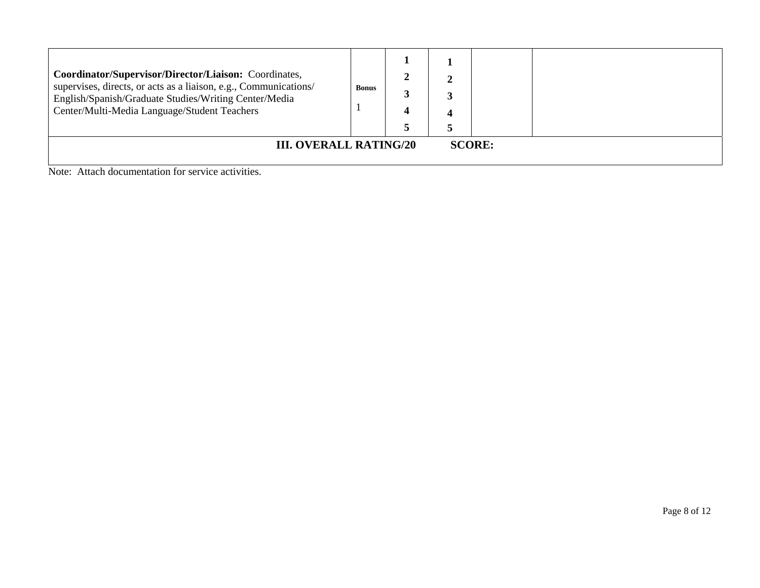| Coordinator/Supervisor/Director/Liaison: Coordinates,<br>supervises, directs, or acts as a liaison, e.g., Communications/<br>English/Spanish/Graduate Studies/Writing Center/Media<br>Center/Multi-Media Language/Student Teachers | <b>Bonus</b> |               |  |  |
|------------------------------------------------------------------------------------------------------------------------------------------------------------------------------------------------------------------------------------|--------------|---------------|--|--|
| <b>III. OVERALL RATING/20</b><br>$\sim$ $\sim$<br>.                                                                                                                                                                                |              | <b>SCORE:</b> |  |  |

Note: Attach documentation for service activities.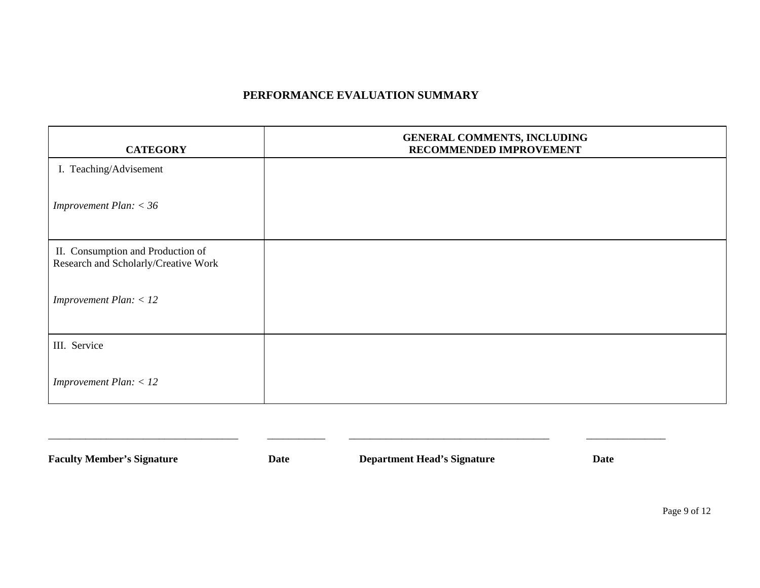## **PERFORMANCE EVALUATION SUMMARY**

| <b>CATEGORY</b>                                                           | GENERAL COMMENTS, INCLUDING<br>RECOMMENDED IMPROVEMENT |
|---------------------------------------------------------------------------|--------------------------------------------------------|
| I. Teaching/Advisement                                                    |                                                        |
| Improvement Plan: $<$ 36                                                  |                                                        |
| II. Consumption and Production of<br>Research and Scholarly/Creative Work |                                                        |
| Improvement Plan: $<$ 12                                                  |                                                        |
| III. Service                                                              |                                                        |
| Improvement Plan: $<$ 12                                                  |                                                        |

| <b>Faculty Member's Signature</b> | Date | <b>Department Head's Signature</b> | <b>Date</b> |
|-----------------------------------|------|------------------------------------|-------------|
|                                   |      |                                    |             |

Page 9 of 12